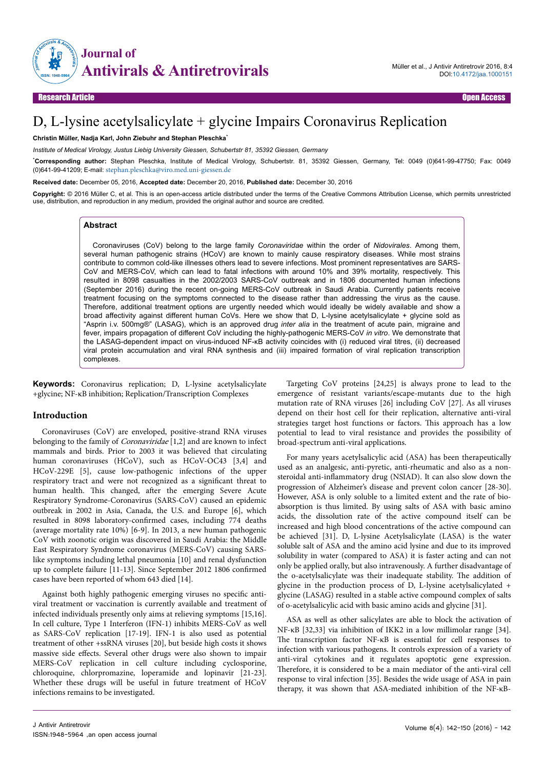

# D, L-lysine acetylsalicylate + glycine Impairs Coronavirus Replication

#### **Christin Müller, Nadja Karl, John Ziebuhr and Stephan Pleschka**\*

*Institute of Medical Virology, Justus Liebig University Giessen, Schubertstr 81, 35392 Giessen, Germany*

\***Corresponding author:** Stephan Pleschka, Institute of Medical Virology, Schubertstr. 81, 35392 Giessen, Germany, Tel: 0049 (0)641-99-47750; Fax: 0049 (0)641-99-41209; E-mail: [stephan.pleschka@viro.med.uni-giessen.de](mailto:stephan.pleschka@viro.med.uni-giessen.de)

**Received date:** December 05, 2016, **Accepted date:** December 20, 2016, **Published date:** December 30, 2016

**Copyright:** © 2016 Müller C, et al. This is an open-access article distributed under the terms of the Creative Commons Attribution License, which permits unrestricted use, distribution, and reproduction in any medium, provided the original author and source are credited.

#### **Abstract**

Coronaviruses (CoV) belong to the large family *Coronaviridae* within the order of *Nidovirales*. Among them, several human pathogenic strains (HCoV) are known to mainly cause respiratory diseases. While most strains contribute to common cold-like illnesses others lead to severe infections. Most prominent representatives are SARS-CoV and MERS-CoV, which can lead to fatal infections with around 10% and 39% mortality, respectively. This resulted in 8098 casualties in the 2002/2003 SARS-CoV outbreak and in 1806 documented human infections (September 2016) during the recent on-going MERS-CoV outbreak in Saudi Arabia. Currently patients receive treatment focusing on the symptoms connected to the disease rather than addressing the virus as the cause. Therefore, additional treatment options are urgently needed which would ideally be widely available and show a broad affectivity against different human CoVs. Here we show that D, L-lysine acetylsalicylate + glycine sold as "Asprin i.v. 500mg®" (LASAG), which is an approved drug *inter alia* in the treatment of acute pain, migraine and fever, impairs propagation of different CoV including the highly-pathogenic MERS-CoV *in vitro*. We demonstrate that the LASAG-dependent impact on virus-induced NF-κB activity coincides with (i) reduced viral titres, (ii) decreased viral protein accumulation and viral RNA synthesis and (iii) impaired formation of viral replication transcription complexes.

**Keywords:** Coronavirus replication; D, L-lysine acetylsalicylate +glycine; NF-κB inhibition; Replication/Transcription Complexes

#### **Introduction**

Coronaviruses (CoV) are enveloped, positive-strand RNA viruses belonging to the family of Coronaviridae [1,2] and are known to infect mammals and birds. Prior to 2003 it was believed that circulating human coronaviruses (HCoV), such as HCoV-OC43 [3,4] and HCoV-229E [5], cause low-pathogenic infections of the upper respiratory tract and were not recognized as a significant threat to human health. This changed, after the emerging Severe Acute Respiratory Syndrome-Coronavirus (SARS-CoV) caused an epidemic outbreak in 2002 in Asia, Canada, the U.S. and Europe [6], which resulted in 8098 laboratory-confirmed cases, including 774 deaths (average mortality rate 10%) [6-9]. In 2013, a new human pathogenic CoV with zoonotic origin was discovered in Saudi Arabia: the Middle East Respiratory Syndrome coronavirus (MERS-CoV) causing SARSlike symptoms including lethal pneumonia [10] and renal dysfunction up to complete failure [11-13]. Since September 2012 1806 confirmed cases have been reported of whom 643 died [14].

Against both highly pathogenic emerging viruses no specific antiviral treatment or vaccination is currently available and treatment of infected individuals presently only aims at relieving symptoms [15,16]. In cell culture, Type 1 Interferon (IFN-1) inhibits MERS-CoV as well as SARS-CoV replication [17-19]. IFN-1 is also used as potential treatment of other +ssRNA viruses [20], but beside high costs it shows massive side effects. Several other drugs were also shown to impair MERS-CoV replication in cell culture including cyclosporine, chloroquine, chlorpromazine, loperamide and lopinavir [21-23]. Whether these drugs will be useful in future treatment of HCoV infections remains to be investigated.

Targeting CoV proteins [24,25] is always prone to lead to the emergence of resistant variants/escape-mutants due to the high mutation rate of RNA viruses [26] including CoV [27]. As all viruses depend on their host cell for their replication, alternative anti-viral strategies target host functions or factors. This approach has a low potential to lead to viral resistance and provides the possibility of broad-spectrum anti-viral applications.

For many years acetylsalicylic acid (ASA) has been therapeutically used as an analgesic, anti-pyretic, anti-rheumatic and also as a nonsteroidal anti-inflammatory drug (NSIAD). It can also slow down the progression of Alzheimer's disease and prevent colon cancer [28-30]. However, ASA is only soluble to a limited extent and the rate of bioabsorption is thus limited. By using salts of ASA with basic amino acids, the dissolution rate of the active compound itself can be increased and high blood concentrations of the active compound can be achieved [31]. D, L-lysine Acetylsalicylate (LASA) is the water soluble salt of ASA and the amino acid lysine and due to its improved solubility in water (compared to ASA) it is faster acting and can not only be applied orally, but also intravenously. A further disadvantage of the o-acetylsalicylate was their inadequate stability. Нe addition of glycine in the production process of D, L-lysine acetylsalicylated + glycine (LASAG) resulted in a stable active compound complex of salts of o-acetylsalicylic acid with basic amino acids and glycine [31].

ASA as well as other salicylates are able to block the activation of NF-κB [32,33] via inhibition of IKK2 in a low millimolar range [34]. Нe transcription factor NF-κB is essential for cell responses to infection with various pathogens. It controls expression of a variety of anti-viral cytokines and it regulates apoptotic gene expression. Нerefore, it is considered to be a main mediator of the anti-viral cell response to viral infection [35]. Besides the wide usage of ASA in pain therapy, it was shown that ASA-mediated inhibition of the NF-κB-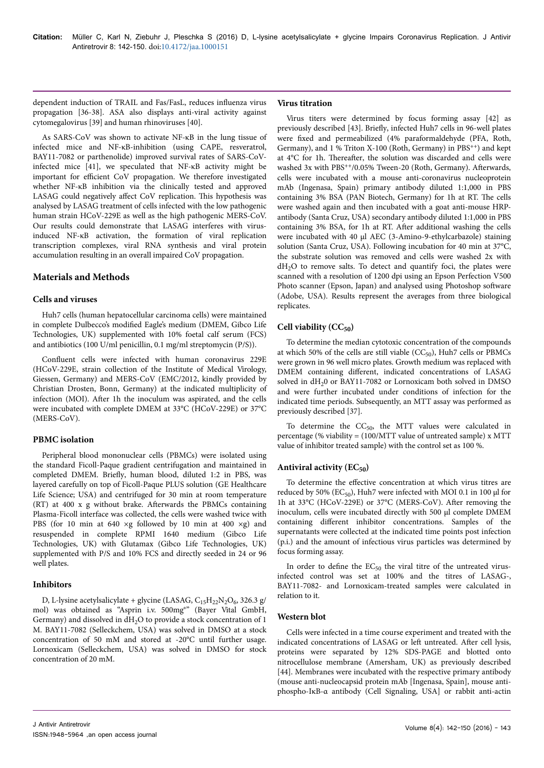dependent induction of TRAIL and Fas/FasL, reduces influenza virus propagation [36-38]. ASA also displays anti-viral activity against cytomegalovirus [39] and human rhinoviruses [40].

As SARS-CoV was shown to activate NF-κB in the lung tissue of infected mice and NF-κB-inhibition (using CAPE, resveratrol, BAY11-7082 or parthenolide) improved survival rates of SARS-CoVinfected mice [41], we speculated that NF-κB activity might be important for efficient CoV propagation. We therefore investigated whether NF-κB inhibition via the clinically tested and approved LASAG could negatively affect CoV replication. This hypothesis was analysed by LASAG treatment of cells infected with the low pathogenic human strain HCoV-229E as well as the high pathogenic MERS-CoV. Our results could demonstrate that LASAG interferes with virusinduced NF-κB activation, the formation of viral replication transcription complexes, viral RNA synthesis and viral protein accumulation resulting in an overall impaired CoV propagation.

# **Materials and Methods**

#### **Cells and viruses**

Huh7 cells (human hepatocellular carcinoma cells) were maintained in complete Dulbecco's modified Eagle's medium (DMEM, Gibco Life Technologies, UK) supplemented with 10% foetal calf serum (FCS) and antibiotics (100 U/ml penicillin, 0.1 mg/ml streptomycin (P/S)).

Confluent cells were infected with human coronavirus 229E (HCoV-229E, strain collection of the Institute of Medical Virology, Giessen, Germany) and MERS-CoV (EMC/2012, kindly provided by Christian Drosten, Bonn, Germany) at the indicated multiplicity of infection (MOI). After 1h the inoculum was aspirated, and the cells were incubated with complete DMEM at 33°C (HCoV-229E) or 37°C (MERS-CoV).

## **PBMC isolation**

Peripheral blood mononuclear cells (PBMCs) were isolated using the standard Ficoll-Paque gradient centrifugation and maintained in completed DMEM. Briefly, human blood, diluted 1:2 in PBS, was layered carefully on top of Ficoll-Paque PLUS solution (GE Healthcare Life Science; USA) and centrifuged for 30 min at room temperature (RT) at 400 x g without brake. Afterwards the PBMCs containing Plasma-Ficoll interface was collected, the cells were washed twice with PBS (for 10 min at 640  $\times$ g followed by 10 min at 400  $\times$ g) and resuspended in complete RPMI 1640 medium (Gibco Life Technologies, UK) with Glutamax (Gibco Life Technologies, UK) supplemented with P/S and 10% FCS and directly seeded in 24 or 96 well plates.

# **Inhibitors**

D, L-lysine acetylsalicylate + glycine (LASAG,  $C_{15}H_{22}N_2O_6$ , 326.3 g/ mol) was obtained as "Asprin i.v. 500mg"" (Bayer Vital GmbH, Germany) and dissolved in  $dH_2O$  to provide a stock concentration of 1 M. BAY11-7082 (Selleckchem, USA) was solved in DMSO at a stock concentration of 50 mM and stored at -20°C until further usage. Lornoxicam (Selleckchem, USA) was solved in DMSO for stock concentration of 20 mM.

## **Virus titration**

Virus titers were determined by focus forming assay [42] as previously described [43]. Briefly, infected Huh7 cells in 96-well plates were fixed and permeabilized (4% paraformaldehyde (PFA, Roth, Germany), and  $1\%$  Triton X-100 (Roth, Germany) in PBS<sup>++</sup>) and kept at 4°C for 1h. Thereafter, the solution was discarded and cells were washed 3x with PBS<sup>++</sup>/0.05% Tween-20 (Roth, Germany). Afterwards, cells were incubated with a mouse anti-coronavirus nucleoprotein mAb (Ingenasa, Spain) primary antibody diluted 1:1,000 in PBS containing 3% BSA (PAN Biotech, Germany) for 1h at RT. Нe cells were washed again and then incubated with a goat anti-mouse HRPantibody (Santa Cruz, USA) secondary antibody diluted 1:1,000 in PBS containing 3% BSA, for 1h at RT. After additional washing the cells were incubated with 40 μl AEC (3-Amino-9-ethylcarbazole) staining solution (Santa Cruz, USA). Following incubation for 40 min at 37°C, the substrate solution was removed and cells were washed 2x with  $dH<sub>2</sub>O$  to remove salts. To detect and quantify foci, the plates were scanned with a resolution of 1200 dpi using an Epson Perfection V500 Photo scanner (Epson, Japan) and analysed using Photoshop software (Adobe, USA). Results represent the averages from three biological replicates.

# **Cell viability (CC50)**

To determine the median cytotoxic concentration of the compounds at which 50% of the cells are still viable  $(CC_{50})$ , Huh7 cells or PBMCs were grown in 96 well micro plates. Growth medium was replaced with DMEM containing different, indicated concentrations of LASAG solved in  $dH_20$  or BAY11-7082 or Lornoxicam both solved in DMSO and were further incubated under conditions of infection for the indicated time periods. Subsequently, an MTT assay was performed as previously described [37].

To determine the  $CC_{50}$ , the MTT values were calculated in percentage (% viability = (100/MTT value of untreated sample) x MTT value of inhibitor treated sample) with the control set as 100 %.

# **Antiviral activity (EC50)**

To determine the effective concentration at which virus titres are reduced by 50% ( $EC_{50}$ ), Huh7 were infected with MOI 0.1 in 100  $\mu$ l for 1h at 33°C (HCoV-229E) or 37°C (MERS-CoV). After removing the inoculum, cells were incubated directly with 500 µl complete DMEM containing different inhibitor concentrations. Samples of the supernatants were collected at the indicated time points post infection (p.i.) and the amount of infectious virus particles was determined by focus forming assay.

In order to define the  $EC_{50}$  the viral titre of the untreated virusinfected control was set at 100% and the titres of LASAG-, BAY11-7082- and Lornoxicam-treated samples were calculated in relation to it.

## **Western blot**

Cells were infected in a time course experiment and treated with the indicated concentrations of LASAG or left untreated. After cell lysis, proteins were separated by 12% SDS-PAGE and blotted onto nitrocellulose membrane (Amersham, UK) as previously described [44]. Membranes were incubated with the respective primary antibody (mouse anti-nucleocapsid protein mAb [Ingenasa, Spain], mouse antiphospho-IκB-α antibody (Cell Signaling, USA] or rabbit anti-actin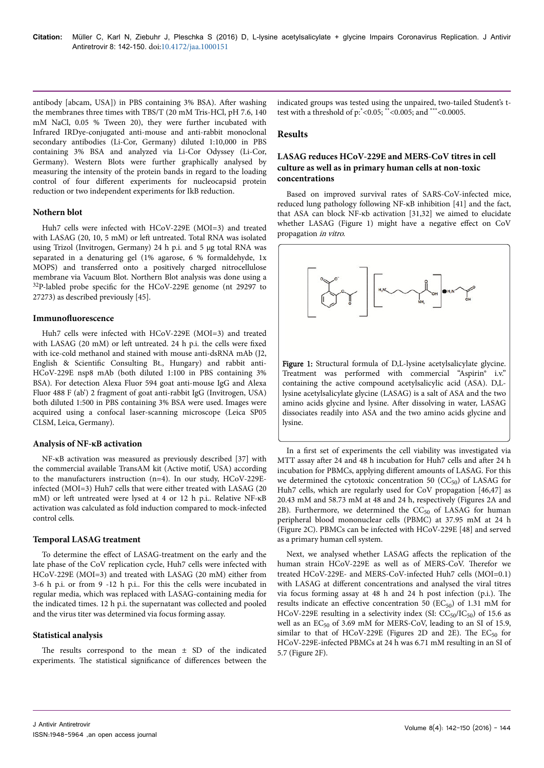antibody [abcam, USA]) in PBS containing 3% BSA). After washing the membranes three times with TBS/T (20 mM Tris-HCl, pH 7.6, 140 mM NaCl, 0.05 % Tween 20), they were further incubated with Infrared IRDye-conjugated anti-mouse and anti-rabbit monoclonal secondary antibodies (Li-Cor, Germany) diluted 1:10,000 in PBS containing 3% BSA and analyzed via Li-Cor Odyssey (Li-Cor, Germany). Western Blots were further graphically analysed by measuring the intensity of the protein bands in regard to the loading control of four different experiments for nucleocapsid protein reduction or two independent experiments for IkB reduction.

#### **Nothern blot**

Huh7 cells were infected with HCoV-229E (MOI=3) and treated with LASAG (20, 10, 5 mM) or left untreated. Total RNA was isolated using Trizol (Invitrogen, Germany) 24 h p.i. and 5 µg total RNA was separated in a denaturing gel (1% agarose, 6 % formaldehyde, 1x MOPS) and transferred onto a positively charged nitrocellulose membrane via Vacuum Blot. Northern Blot analysis was done using a  $32P$ -labled probe specific for the HCoV-229E genome (nt 29297 to 27273) as described previously [45].

#### **Immunofluorescence**

Huh7 cells were infected with HCoV-229E (MOI=3) and treated with LASAG (20 mM) or left untreated. 24 h p.i. the cells were fixed with ice-cold methanol and stained with mouse anti-dsRNA mAb (J2, English & Scientific Consulting Bt., Hungary) and rabbit anti-HCoV-229E nsp8 mAb (both diluted 1:100 in PBS containing 3% BSA). For detection Alexa Fluor 594 goat anti-mouse IgG and Alexa Fluor 488 F (ab') 2 fragment of goat anti-rabbit IgG (Invitrogen, USA) both diluted 1:500 in PBS containing 3% BSA were used. Images were acquired using a confocal laser-scanning microscope (Leica SP05 CLSM, Leica, Germany).

## **Analysis of NF-κB activation**

NF-κB activation was measured as previously described [37] with the commercial available TransAM kit (Active motif, USA) according to the manufacturers instruction (n=4). In our study, HCoV-229Einfected (MOI=3) Huh7 cells that were either treated with LASAG (20 mM) or left untreated were lysed at 4 or 12 h p.i.. Relative NF-κB activation was calculated as fold induction compared to mock-infected control cells.

#### **Temporal LASAG treatment**

To determine the effect of LASAG-treatment on the early and the late phase of the CoV replication cycle, Huh7 cells were infected with HCoV-229E (MOI=3) and treated with LASAG (20 mM) either from 3-6 h p.i. or from 9 -12 h p.i.. For this the cells were incubated in regular media, which was replaced with LASAG-containing media for the indicated times. 12 h p.i. the supernatant was collected and pooled and the virus titer was determined via focus forming assay.

#### **Statistical analysis**

The results correspond to the mean  $\pm$  SD of the indicated experiments. The statistical significance of differences between the

indicated groups was tested using the unpaired, two-tailed Student's ttest with a threshold of p:\*<0.05; \*\*<0.005; and \*\*\*<0.0005.

## **Results**

## **LASAG reduces HCoV-229E and MERS-CoV titres in cell culture as well as in primary human cells at non-toxic concentrations**

Based on improved survival rates of SARS-CoV-infected mice, reduced lung pathology following NF-κB inhibition [41] and the fact, that ASA can block NF-κb activation [31,32] we aimed to elucidate whether LASAG (Figure 1) might have a negative effect on CoV propagation in vitro.



amino acids glycine and lysine. After dissolving in water, LASAG dissociates readily into ASA and the two amino acids glycine and lysine.

In a first set of experiments the cell viability was investigated via MTT assay after 24 and 48 h incubation for Huh7 cells and after 24 h incubation for PBMCs, applying different amounts of LASAG. For this we determined the cytotoxic concentration 50  $(CC<sub>50</sub>)$  of LASAG for Huh7 cells, which are regularly used for CoV propagation [46,47] as 20.43 mM and 58.73 mM at 48 and 24 h, respectively (Figures 2A and 2B). Furthermore, we determined the  $CC_{50}$  of LASAG for human peripheral blood mononuclear cells (PBMC) at 37.95 mM at 24 h (Figure 2C). PBMCs can be infected with HCoV-229E [48] and served as a primary human cell system.

Next, we analysed whether LASAG affects the replication of the human strain HCoV-229E as well as of MERS-CoV. Нerefor we treated HCoV-229E- and MERS-CoV-infected Huh7 cells (MOI=0.1) with LASAG at different concentrations and analysed the viral titres via focus forming assay at 48 h and 24 h post infection (p.i.). Нe results indicate an effective concentration 50 ( $EC_{50}$ ) of 1.31 mM for HCoV-229E resulting in a selectivity index (SI:  $CC_{50}/IC_{50}$ ) of 15.6 as well as an  $EC_{50}$  of 3.69 mM for MERS-CoV, leading to an SI of 15.9, similar to that of HCoV-229E (Figures 2D and 2E). The  $EC_{50}$  for HCoV-229E-infected PBMCs at 24 h was 6.71 mM resulting in an SI of 5.7 (Figure 2F).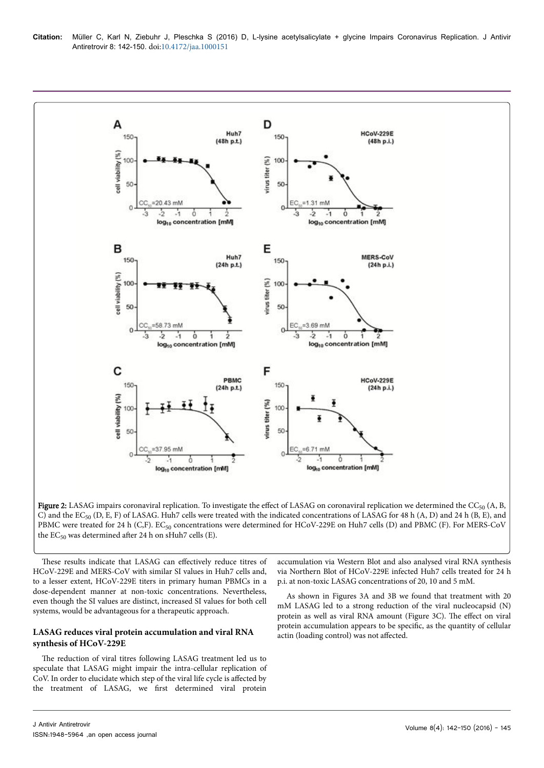

**Figure 2:** LASAG impairs coronaviral replication. To investigate the effect of LASAG on coronaviral replication we determined the CC<sub>50</sub> (A, B, C) and the EC<sub>50</sub> (D, E, F) of LASAG. Huh7 cells were treated with the indicated concentrations of LASAG for 48 h (A, D) and 24 h (B, E), and PBMC were treated for 24 h (C,F). EC<sub>50</sub> concentrations were determined for HCoV-229E on Huh7 cells (D) and PBMC (F). For MERS-CoV the  $EC_{50}$  was determined after 24 h on sHuh7 cells (E).

These results indicate that LASAG can effectively reduce titres of HCoV-229E and MERS-CoV with similar SI values in Huh7 cells and, to a lesser extent, HCoV-229E titers in primary human PBMCs in a dose-dependent manner at non-toxic concentrations. Nevertheless, even though the SI values are distinct, increased SI values for both cell systems, would be advantageous for a therapeutic approach.

# **LASAG reduces viral protein accumulation and viral RNA synthesis of HCoV-229E**

The reduction of viral titres following LASAG treatment led us to speculate that LASAG might impair the intra-cellular replication of CoV. In order to elucidate which step of the viral life cycle is affected by the treatment of LASAG, we first determined viral protein

accumulation via Western Blot and also analysed viral RNA synthesis via Northern Blot of HCoV-229E infected Huh7 cells treated for 24 h p.i. at non-toxic LASAG concentrations of 20, 10 and 5 mM.

As shown in Figures 3A and 3B we found that treatment with 20 mM LASAG led to a strong reduction of the viral nucleocapsid (N) protein as well as viral RNA amount (Figure 3C). The effect on viral protein accumulation appears to be specific, as the quantity of cellular actin (loading control) was not affected.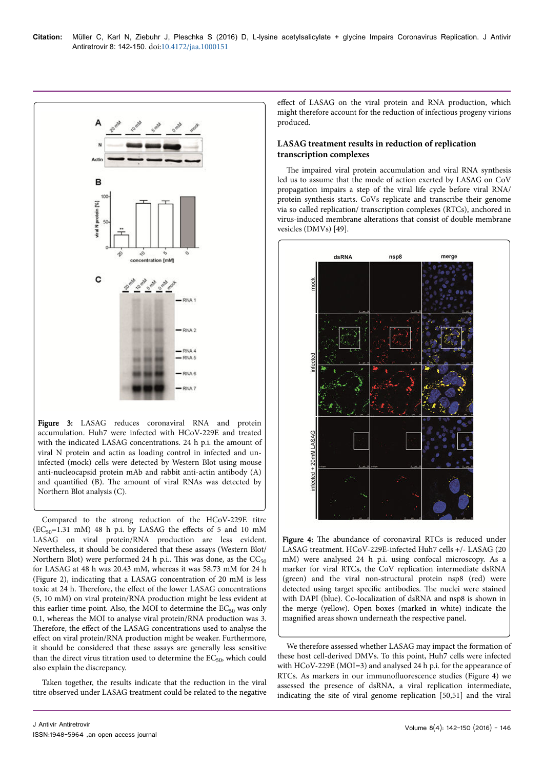

Figure 3: LASAG reduces coronaviral RNA and protein accumulation. Huh7 were infected with HCoV-229E and treated with the indicated LASAG concentrations. 24 h p.i. the amount of viral N protein and actin as loading control in infected and uninfected (mock) cells were detected by Western Blot using mouse anti-nucleocapsid protein mAb and rabbit anti-actin antibody (A) and quantified (B). The amount of viral RNAs was detected by Northern Blot analysis (C).

Compared to the strong reduction of the HCoV-229E titre  $(EC_{50}=1.31 \text{ mM})$  48 h p.i. by LASAG the effects of 5 and 10 mM LASAG on viral protein/RNA production are less evident. Nevertheless, it should be considered that these assays (Western Blot/ Northern Blot) were performed 24 h p.i.. This was done, as the  $CC_{50}$ for LASAG at 48 h was 20.43 mM, whereas it was 58.73 mM for 24 h (Figure 2), indicating that a LASAG concentration of 20 mM is less toxic at 24 h. Therefore, the effect of the lower LASAG concentrations (5, 10 mM) on viral protein/RNA production might be less evident at this earlier time point. Also, the MOI to determine the  $EC_{50}$  was only 0.1, whereas the MOI to analyse viral protein/RNA production was 3. Therefore, the effect of the LASAG concentrations used to analyse the effect on viral protein/RNA production might be weaker. Furthermore, it should be considered that these assays are generally less sensitive than the direct virus titration used to determine the  $EC_{50}$ , which could also explain the discrepancy.

Taken together, the results indicate that the reduction in the viral titre observed under LASAG treatment could be related to the negative effect of LASAG on the viral protein and RNA production, which might therefore account for the reduction of infectious progeny virions produced.

## **LASAG treatment results in reduction of replication transcription complexes**

The impaired viral protein accumulation and viral RNA synthesis led us to assume that the mode of action exerted by LASAG on CoV propagation impairs a step of the viral life cycle before viral RNA/ protein synthesis starts. CoVs replicate and transcribe their genome via so called replication/ transcription complexes (RTCs), anchored in virus-induced membrane alterations that consist of double membrane vesicles (DMVs) [49].



Figure 4: The abundance of coronaviral RTCs is reduced under LASAG treatment. HCoV-229E-infected Huh7 cells +/- LASAG (20 mM) were analysed 24 h p.i. using confocal microscopy. As a marker for viral RTCs, the CoV replication intermediate dsRNA (green) and the viral non-structural protein nsp8 (red) were detected using target specific antibodies. The nuclei were stained with DAPI (blue). Co-localization of dsRNA and nsp8 is shown in the merge (yellow). Open boxes (marked in white) indicate the magnified areas shown underneath the respective panel.

We therefore assessed whether LASAG may impact the formation of these host cell-derived DMVs. To this point, Huh7 cells were infected with HCoV-229E (MOI=3) and analysed 24 h p.i. for the appearance of RTCs. As markers in our immunofluorescence studies (Figure 4) we assessed the presence of dsRNA, a viral replication intermediate, indicating the site of viral genome replication [50,51] and the viral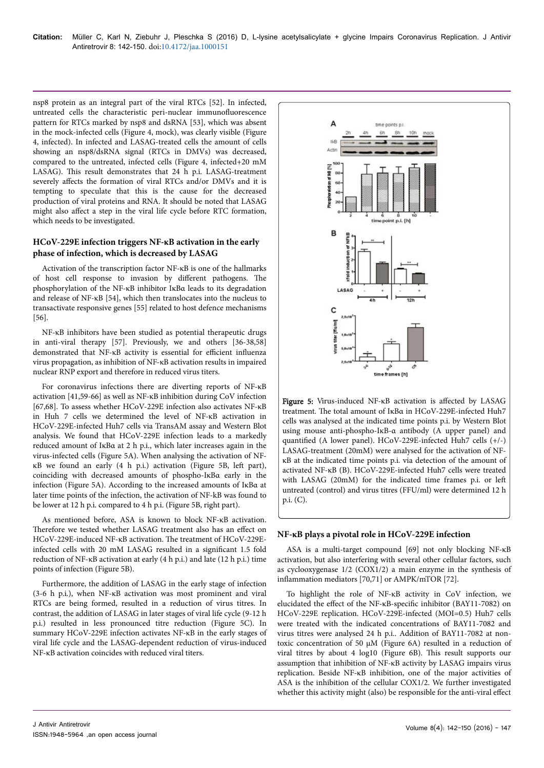nsp8 protein as an integral part of the viral RTCs [52]. In infected, untreated cells the characteristic peri-nuclear immunofluorescence pattern for RTCs marked by nsp8 and dsRNA [53], which was absent in the mock-infected cells (Figure 4, mock), was clearly visible (Figure 4, infected). In infected and LASAG-treated cells the amount of cells showing an nsp8/dsRNA signal (RTCs in DMVs) was decreased, compared to the untreated, infected cells (Figure 4, infected+20 mM LASAG). This result demonstrates that 24 h p.i. LASAG-treatment severely affects the formation of viral RTCs and/or DMVs and it is tempting to speculate that this is the cause for the decreased production of viral proteins and RNA. It should be noted that LASAG might also affect a step in the viral life cycle before RTC formation, which needs to be investigated.

#### **HCoV-229E infection triggers NF-κB activation in the early phase of infection, which is decreased by LASAG**

Activation of the transcription factor NF-κB is one of the hallmarks of host cell response to invasion by different pathogens. The phosphorylation of the NF-κB inhibitor IκBα leads to its degradation and release of NF-κB [54], which then translocates into the nucleus to transactivate responsive genes [55] related to host defence mechanisms [56].

NF-κB inhibitors have been studied as potential therapeutic drugs in anti-viral therapy [57]. Previously, we and others [36-38,58] demonstrated that NF-κB activity is essential for efficient influenza virus propagation, as inhibition of NF-κB activation results in impaired nuclear RNP export and therefore in reduced virus titers.

For coronavirus infections there are diverting reports of NF-κB activation [41,59-66] as well as NF-κB inhibition during CoV infection [67,68]. To assess whether HCoV-229E infection also activates NF-κB in Huh 7 cells we determined the level of NF-κB activation in HCoV-229E-infected Huh7 cells via TransAM assay and Western Blot analysis. We found that HCoV-229E infection leads to a markedly reduced amount of IκBα at 2 h p.i., which later increases again in the virus-infected cells (Figure 5A). When analysing the activation of NF $κB$  we found an early  $(4 h p.i.)$  activation (Figure 5B, left part), coinciding with decreased amounts of phospho-IκBα early in the infection (Figure 5A). According to the increased amounts of IκBα at later time points of the infection, the activation of NF-kB was found to be lower at 12 h p.i. compared to 4 h p.i. (Figure 5B, right part).

As mentioned before, ASA is known to block NF-κB activation. Therefore we tested whether LASAG treatment also has an effect on HCoV-229E-induced NF-κB activation. Нe treatment of HCoV-229Einfected cells with 20 mM LASAG resulted in a significant 1.5 fold reduction of NF-κB activation at early (4 h p.i.) and late (12 h p.i.) time points of infection (Figure 5B).

Furthermore, the addition of LASAG in the early stage of infection (3-6 h p.i.), when NF-κB activation was most prominent and viral RTCs are being formed, resulted in a reduction of virus titres. In contrast, the addition of LASAG in later stages of viral life cycle (9-12 h p.i.) resulted in less pronounced titre reduction (Figure 5C). In summary HCoV-229E infection activates NF-κB in the early stages of viral life cycle and the LASAG-dependent reduction of virus-induced NF-κB activation coincides with reduced viral titers.



Figure 5: Virus-induced NF-κB activation is affected by LASAG treatment. Нe total amount of IκBα in HCoV-229E-infected Huh7 cells was analysed at the indicated time points p.i. by Western Blot using mouse anti-phospho-IκB-α antibody (A upper panel) and quantified (A lower panel). HCoV-229E-infected Huh7 cells (+/-) LASAG-treatment (20mM) were analysed for the activation of NFκB at the indicated time points p.i. via detection of the amount of activated NF-κB (B). HCoV-229E-infected Huh7 cells were treated with LASAG (20mM) for the indicated time frames p.i. or left untreated (control) and virus titres (FFU/ml) were determined 12 h p.i. (C).

## **NF-κB plays a pivotal role in HCoV-229E infection**

ASA is a multi-target compound [69] not only blocking NF-κB activation, but also interfering with several other cellular factors, such as cyclooxygenase 1/2 (COX1/2) a main enzyme in the synthesis of inflammation mediators [70,71] or AMPK/mTOR [72].

To highlight the role of NF-κB activity in CoV infection, we elucidated the effect of the NF-κB-specific inhibitor (BAY11-7082) on HCoV-229E replication. HCoV-229E-infected (MOI=0.5) Huh7 cells were treated with the indicated concentrations of BAY11-7082 and virus titres were analysed 24 h p.i.. Addition of BAY11-7082 at nontoxic concentration of 50 µM (Figure 6A) resulted in a reduction of viral titres by about 4 log10 (Figure 6B). This result supports our assumption that inhibition of NF-κB activity by LASAG impairs virus replication. Beside NF-κB inhibition, one of the major activities of ASA is the inhibition of the cellular COX1/2. We further investigated whether this activity might (also) be responsible for the anti-viral effect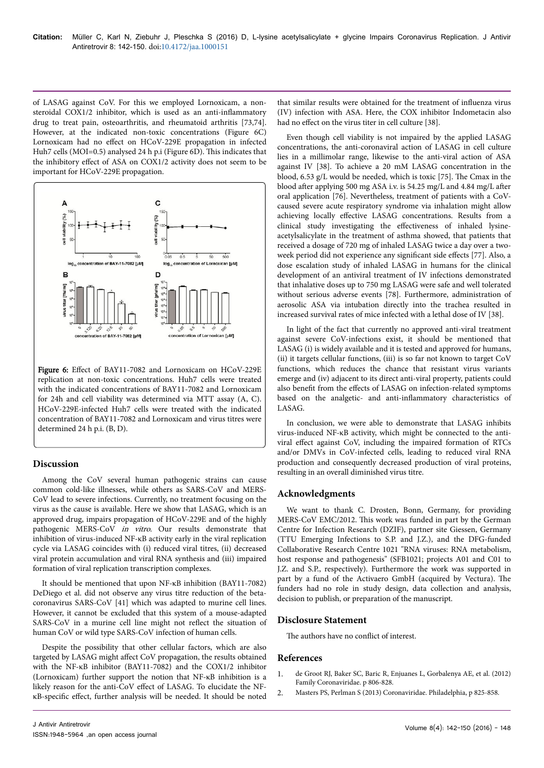of LASAG against CoV. For this we employed Lornoxicam, a nonsteroidal COX1/2 inhibitor, which is used as an anti-inflammatory drug to treat pain, osteoarthritis, and rheumatoid arthritis [73,74]. However, at the indicated non-toxic concentrations (Figure 6C) Lornoxicam had no effect on HCoV-229E propagation in infected Huh7 cells (MOI=0.5) analysed 24 h p.i (Figure 6D). This indicates that the inhibitory effect of ASA on COX1/2 activity does not seem to be important for HCoV-229E propagation.



Figure 6: Effect of BAY11-7082 and Lornoxicam on HCoV-229E replication at non-toxic concentrations. Huh7 cells were treated with the indicated concentrations of BAY11-7082 and Lornoxicam for 24h and cell viability was determined via MTT assay (A, C). HCoV-229E-infected Huh7 cells were treated with the indicated concentration of BAY11-7082 and Lornoxicam and virus titres were determined 24 h p.i. (B, D).

# **Discussion**

Among the CoV several human pathogenic strains can cause common cold-like illnesses, while others as SARS-CoV and MERS-CoV lead to severe infections. Currently, no treatment focusing on the virus as the cause is available. Here we show that LASAG, which is an approved drug, impairs propagation of HCoV-229E and of the highly pathogenic MERS-CoV in vitro. Our results demonstrate that inhibition of virus-induced NF-κB activity early in the viral replication cycle via LASAG coincides with (i) reduced viral titres, (ii) decreased viral protein accumulation and viral RNA synthesis and (iii) impaired formation of viral replication transcription complexes.

It should be mentioned that upon NF-κB inhibition (BAY11-7082) DeDiego et al. did not observe any virus titre reduction of the betacoronavirus SARS-CoV [41] which was adapted to murine cell lines. However, it cannot be excluded that this system of a mouse-adapted SARS-CoV in a murine cell line might not reflect the situation of human CoV or wild type SARS-CoV infection of human cells.

Despite the possibility that other cellular factors, which are also targeted by LASAG might affect CoV propagation, the results obtained with the NF-κB inhibitor (BAY11-7082) and the COX1/2 inhibitor (Lornoxicam) further support the notion that NF-κB inhibition is a likely reason for the anti-CoV effect of LASAG. To elucidate the NFκB-specific effect, further analysis will be needed. It should be noted

Even though cell viability is not impaired by the applied LASAG concentrations, the anti-coronaviral action of LASAG in cell culture lies in a millimolar range, likewise to the anti-viral action of ASA against IV [38]. To achieve a 20 mM LASAG concentration in the blood, 6.53 g/L would be needed, which is toxic [75]. Нe Cmax in the blood after applying 500 mg ASA i.v. is 54.25 mg/L and 4.84 mg/L after oral application [76]. Nevertheless, treatment of patients with a CoVcaused severe acute respiratory syndrome via inhalation might allow achieving locally effective LASAG concentrations. Results from a clinical study investigating the effectiveness of inhaled lysineacetylsalicylate in the treatment of asthma showed, that patients that received a dosage of 720 mg of inhaled LASAG twice a day over a twoweek period did not experience any significant side effects [77]. Also, a dose escalation study of inhaled LASAG in humans for the clinical development of an antiviral treatment of IV infections demonstrated that inhalative doses up to 750 mg LASAG were safe and well tolerated without serious adverse events [78]. Furthermore, administration of aerosolic ASA via intubation directly into the trachea resulted in increased survival rates of mice infected with a lethal dose of IV [38].

In light of the fact that currently no approved anti-viral treatment against severe CoV-infections exist, it should be mentioned that LASAG (i) is widely available and it is tested and approved for humans, (ii) it targets cellular functions, (iii) is so far not known to target CoV functions, which reduces the chance that resistant virus variants emerge and (iv) adjacent to its direct anti-viral property, patients could also benefit from the effects of LASAG on infection-related symptoms based on the analgetic- and anti-inflammatory characteristics of LASAG.

In conclusion, we were able to demonstrate that LASAG inhibits virus-induced NF-κB activity, which might be connected to the antiviral effect against CoV, including the impaired formation of RTCs and/or DMVs in CoV-infected cells, leading to reduced viral RNA production and consequently decreased production of viral proteins, resulting in an overall diminished virus titre.

## **Acknowledgments**

We want to thank C. Drosten, Bonn, Germany, for providing MERS-CoV EMC/2012. This work was funded in part by the German Centre for Infection Research (DZIF), partner site Giessen, Germany (TTU Emerging Infections to S.P. and J.Z.), and the DFG-funded Collaborative Research Centre 1021 "RNA viruses: RNA metabolism, host response and pathogenesis" (SFB1021; projects A01 and C01 to J.Z. and S.P., respectively). Furthermore the work was supported in part by a fund of the Activaero GmbH (acquired by Vectura). Нe funders had no role in study design, data collection and analysis, decision to publish, or preparation of the manuscript.

## **Disclosure Statement**

The authors have no conflict of interest.

#### **References**

- 1. de Groot RJ, Baker SC, Baric R, Enjuanes L, Gorbalenya AE, et al. (2012) Family Coronaviridae. p 806-828.
- 2. Masters PS, Perlman S (2013) Coronaviridae. Philadelphia, p 825-858.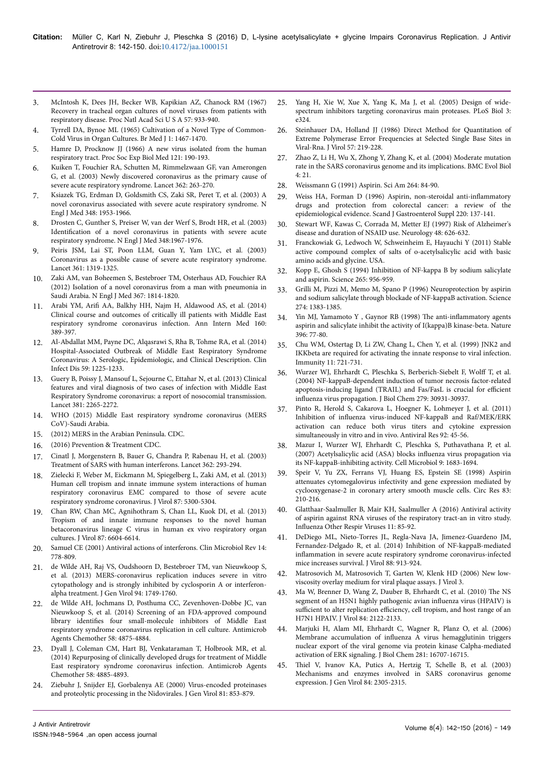- 3. [McIntosh K, Dees JH, Becker WB, Kapikian AZ, Chanock RM \(1967\)](https://www.jstor.org/stable/57712?seq=1) [Recovery in tracheal organ cultures of novel viruses from patients with](https://www.jstor.org/stable/57712?seq=1) [respiratory disease. Proc Natl Acad Sci U S A 57: 933-940.](https://www.jstor.org/stable/57712?seq=1)
- [Tyrrell DA, Bynoe ML \(1965\) Cultivation of a Novel Type of Common-](https://www.jstor.org/stable/25402533?seq=1)[Cold Virus in Organ Cultures. Br Med J 1: 1467-1470.](https://www.jstor.org/stable/25402533?seq=1)
- 5. [Hamre D, Procknow JJ \(1966\) A new virus isolated from the human](https://www.omicsonline.org/references/a-new-virus-isolated-from-the-human-respiratory-tract-53923.html) [respiratory tract. Proc Soc Exp Biol Med 121: 190-193.](https://www.omicsonline.org/references/a-new-virus-isolated-from-the-human-respiratory-tract-53923.html)
- [Kuiken T, Fouchier RA, Schutten M, Rimmelzwaan GF, van Amerongen](https://dx.doi.org/10.1016/S0140-6736(03)13967-0) [G, et al. \(2003\) Newly discovered coronavirus as the primary cause of](https://dx.doi.org/10.1016/S0140-6736(03)13967-0) [severe acute respiratory syndrome. Lancet 362: 263-270.](https://dx.doi.org/10.1016/S0140-6736(03)13967-0)
- 7. [Ksiazek TG, Erdman D, Goldsmith CS, Zaki SR, Peret T, et al. \(2003\) A](http://www.nejm.org/doi/full/10.1056/NEJMoa030781) [novel coronavirus associated with severe acute respiratory syndrome. N](http://www.nejm.org/doi/full/10.1056/NEJMoa030781) [Engl J Med 348: 1953-1966.](http://www.nejm.org/doi/full/10.1056/NEJMoa030781)
- 8. [Drosten C, Gunther S, Preiser W, van der Werf S, Brodt HR, et al. \(2003\)](https://dx.doi.org/10.1056/NEJMoa030747) Identification [of a novel coronavirus in patients with severe acute](https://dx.doi.org/10.1056/NEJMoa030747) [respiratory syndrome. N Engl J Med 348:1967-1976.](https://dx.doi.org/10.1056/NEJMoa030747)
- 9. [Peiris JSM, Lai ST, Poon LLM, Guan Y, Yam LYC, et al. \(2003\)](http://www.thelancet.com/journals/lancet/article/PIIS0140673603130772/abstract) [Coronavirus as a possible cause of severe acute respiratory syndrome.](http://www.thelancet.com/journals/lancet/article/PIIS0140673603130772/abstract) [Lancet 361: 1319-1325.](http://www.thelancet.com/journals/lancet/article/PIIS0140673603130772/abstract)
- 10. [Zaki AM, van Boheemen S, Bestebroer TM, Osterhaus AD, Fouchier RA](http://dx.doi.org/10.1056/NEJMoa1211721) [\(2012\) Isolation of a novel coronavirus from a man with pneumonia in](http://dx.doi.org/10.1056/NEJMoa1211721) [Saudi Arabia. N Engl J Med 367: 1814-1820.](http://dx.doi.org/10.1056/NEJMoa1211721)
- 11. Arabi YM, Arifi [AA, Balkhy HH, Najm H, Aldawood AS, et al. \(2014\)](https://dx.doi.org/10.7326/M13-2486) [Clinical course and outcomes of critically ill patients with Middle East](https://dx.doi.org/10.7326/M13-2486) [respiratory syndrome coronavirus infection. Ann Intern Med 160:](https://dx.doi.org/10.7326/M13-2486) [389-397.](https://dx.doi.org/10.7326/M13-2486)
- 12. [Al-Abdallat MM, Payne DC, Alqasrawi S, Rha B, Tohme RA, et al. \(2014\)](https://dx.doi.org/10.1093/cid/ciu359) [Hospital-Associated Outbreak of Middle East Respiratory Syndrome](https://dx.doi.org/10.1093/cid/ciu359) [Coronavirus: A Serologic, Epidemiologic, and Clinical Description. Clin](https://dx.doi.org/10.1093/cid/ciu359) [Infect Dis 59: 1225-1233.](https://dx.doi.org/10.1093/cid/ciu359)
- 13. [Guery B, Poissy J, Mansouf L, Sejourne C, Ettahar N, et al. \(2013\) Clinical](http://www.thelancet.com/journals/lancet/article/PIIS0140-6736(13)60982-4/abstract) [features and viral diagnosis of two cases of infection with Middle East](http://www.thelancet.com/journals/lancet/article/PIIS0140-6736(13)60982-4/abstract) [Respiratory Syndrome coronavirus: a report of nosocomial transmission.](http://www.thelancet.com/journals/lancet/article/PIIS0140-6736(13)60982-4/abstract) [Lancet 381: 2265-2272.](http://www.thelancet.com/journals/lancet/article/PIIS0140-6736(13)60982-4/abstract)
- 14. [WHO \(2015\) Middle East respiratory syndrome coronavirus \(MERS](http://www.who.int/mediacentre/factsheets/mers-cov/en/) [CoV\)-Saudi Arabia.](http://www.who.int/mediacentre/factsheets/mers-cov/en/)
- 15. [\(2012\) MERS in the Arabian Peninsula. CDC.](http://wwwnc.cdc.gov/travel/notices/alert/coronavirus-saudi-arabia-qatar)
- 16. [\(2016\) Prevention & Treatment CDC.](http://www.cdc.gov/coronavirus/MERS/about/prevention.html)
- 17. [Cinatl J, Morgenstern B, Bauer G, Chandra P, Rabenau H, et al. \(2003\)](https://dx.doi.org/10.1016/S0140-6736(03)14482-0) [Treatment of SARS with human interferons. Lancet 362: 293-294.](https://dx.doi.org/10.1016/S0140-6736(03)14482-0)
- 18. [Zielecki F, Weber M, Eickmann M, Spiegelberg L, Zaki AM, et al. \(2013\)](http://jvi.asm.org/content/87/9/5300.abstract) [Human cell tropism and innate immune system interactions of human](http://jvi.asm.org/content/87/9/5300.abstract) [respiratory coronavirus EMC compared to those of severe acute](http://jvi.asm.org/content/87/9/5300.abstract) [respiratory syndrome coronavirus. J Virol 87: 5300-5304.](http://jvi.asm.org/content/87/9/5300.abstract)
- 19. [Chan RW, Chan MC, Agnihothram S, Chan LL, Kuok DI, et al. \(2013\)](https://dx.doi.org/10.1128/JVI.00009-13) [Tropism of and innate immune responses to the novel human](https://dx.doi.org/10.1128/JVI.00009-13) [betacoronavirus lineage C virus in human ex vivo respiratory organ](https://dx.doi.org/10.1128/JVI.00009-13) [cultures. J Virol 87: 6604-6614.](https://dx.doi.org/10.1128/JVI.00009-13)
- 20. [Samuel CE \(2001\) Antiviral actions of interferons. Clin Microbiol Rev 14:](https://dx.doi.org/10.1128/CMR.14.4.778-809.2001) [778-809.](https://dx.doi.org/10.1128/CMR.14.4.778-809.2001)
- 21. [de Wilde AH, Raj VS, Oudshoorn D, Bestebroer TM, van Nieuwkoop S,](https://dx.doi.org/10.1099/vir.0.052910-0) [et al. \(2013\) MERS-coronavirus replication induces severe in vitro](https://dx.doi.org/10.1099/vir.0.052910-0) [cytopathology and is strongly inhibited by cyclosporin A or interferon](https://dx.doi.org/10.1099/vir.0.052910-0)[alpha treatment. J Gen Virol 94: 1749-1760.](https://dx.doi.org/10.1099/vir.0.052910-0)
- 22. [de Wilde AH, Jochmans D, Posthuma CC, Zevenhoven-Dobbe JC, van](https://dx.doi.org/10.1128/AAC.03011-14) [Nieuwkoop S, et al. \(2014\) Screening of an FDA-approved compound](https://dx.doi.org/10.1128/AAC.03011-14) library identifies [four small-molecule inhibitors of Middle East](https://dx.doi.org/10.1128/AAC.03011-14) [respiratory syndrome coronavirus replication in cell culture. Antimicrob](https://dx.doi.org/10.1128/AAC.03011-14) [Agents Chemother 58: 4875-4884.](https://dx.doi.org/10.1128/AAC.03011-14)
- 23. [Dyall J, Coleman CM, Hart BJ, Venkataraman T, Holbrook MR, et al.](https://dx.doi.org/10.1128/AAC.03036-14) [\(2014\) Repurposing of clinically developed drugs for treatment of Middle](https://dx.doi.org/10.1128/AAC.03036-14) [East respiratory syndrome coronavirus infection. Antimicrob Agents](https://dx.doi.org/10.1128/AAC.03036-14) [Chemother 58: 4885-4893.](https://dx.doi.org/10.1128/AAC.03036-14)
- 24. [Ziebuhr J, Snijder EJ, Gorbalenya AE \(2000\) Virus-encoded proteinases](http://dx.doi.org/10.1099/0022-1317-81-4-853) [and proteolytic processing in the Nidovirales. J Gen Virol 81: 853-879.](http://dx.doi.org/10.1099/0022-1317-81-4-853)
- 25. [Yang H, Xie W, Xue X, Yang K, Ma J, et al. \(2005\) Design of wide](https://dx.doi.org/10.1371/journal.pbio.0030324)[spectrum inhibitors targeting coronavirus main proteases. PLoS Biol 3:](https://dx.doi.org/10.1371/journal.pbio.0030324) [e324.](https://dx.doi.org/10.1371/journal.pbio.0030324)
- 26. [Steinhauer DA, Holland JJ \(1986\) Direct Method for Quantitation of](http://jvi.asm.org/content/57/1/219.full) [Extreme Polymerase Error Frequencies at Selected Single Base Sites in](http://jvi.asm.org/content/57/1/219.full) [Viral-Rna. J Virol 57: 219-228.](http://jvi.asm.org/content/57/1/219.full)
- [Zhao Z, Li H, Wu X, Zhong Y, Zhang K, et al. \(2004\) Moderate mutation](http://bmcevolbiol.biomedcentral.com/articles/10.1186/1471-2148-4-21) [rate in the SARS coronavirus genome and its implications. BMC Evol Biol](http://bmcevolbiol.biomedcentral.com/articles/10.1186/1471-2148-4-21) [4: 21.](http://bmcevolbiol.biomedcentral.com/articles/10.1186/1471-2148-4-21)
- 28. [Weissmann G \(1991\) Aspirin. Sci Am 264: 84-90.](https://www.scientificamerican.com/article/aspirin-1991-01/)
- 29. [Weiss HA, Forman D \(1996\) Aspirin, non-steroidal](http://www.tandfonline.com/doi/pdf/10.3109/00365529609094766) anti-inflammatory [drugs and protection from colorectal cancer: a review of the](http://www.tandfonline.com/doi/pdf/10.3109/00365529609094766) [epidemiological evidence. Scand J Gastroenterol Suppl 220: 137-141.](http://www.tandfonline.com/doi/pdf/10.3109/00365529609094766)
- 30. [Stewart WF, Kawas C, Corrada M, Metter EJ \(1997\) Risk of Alzheimer's](http://www.neurology.org/content/51/2/652.extract) [disease and duration of NSAID use. Neurology 48: 626-632.](http://www.neurology.org/content/51/2/652.extract)
- 31. [Franckowiak G, Ledwoch W, Schweinheim E, Hayauchi Y \(2011\) Stable](http://www.technology-x.net/C07C/200680019089.html) [active compound complex of salts of o-acetylsalicylic acid with basic](http://www.technology-x.net/C07C/200680019089.html) [amino acids and glycine. USA.](http://www.technology-x.net/C07C/200680019089.html)
- 32. [Kopp E, Ghosh S \(1994\) Inhibition of NF-kappa B by sodium salicylate](http://www.nature.com/nature/journal/v396/n6706/full/396077a0.html) [and aspirin. Science 265: 956-959.](http://www.nature.com/nature/journal/v396/n6706/full/396077a0.html)
- 33. [Grilli M, Pizzi M, Memo M, Spano P \(1996\) Neuroprotection by aspirin](https://moh-it.pure.elsevier.com/en/publications/neuroprotection-by-aspirin-and-sodium-salicylate-through-blockade) [and sodium salicylate through blockade of NF-kappaB activation. Science](https://moh-it.pure.elsevier.com/en/publications/neuroprotection-by-aspirin-and-sodium-salicylate-through-blockade) [274: 1383-1385.](https://moh-it.pure.elsevier.com/en/publications/neuroprotection-by-aspirin-and-sodium-salicylate-through-blockade)
- 34. Yin MJ, Yamamoto Y, Gaynor RB (1998) The anti-inflammatory agents [aspirin and salicylate inhibit the activity of I\(kappa\)B kinase-beta. Nature](https://dx.doi.org/10.1038/23948) [396: 77-80.](https://dx.doi.org/10.1038/23948)
- 35. [Chu WM, Ostertag D, Li ZW, Chang L, Chen Y, et al. \(1999\) JNK2 and](http://europepmc.org/abstract/med/10626894) [IKKbeta are required for activating the innate response to viral infection.](http://europepmc.org/abstract/med/10626894) [Immunity 11: 721-731.](http://europepmc.org/abstract/med/10626894)
- 36. [Wurzer WJ, Ehrhardt C, Pleschka S, Berberich-Siebelt F,](https://dx.doi.org/10.1074/jbc.M403258200) Wolff T, et al. [\(2004\) NF-kappaB-dependent induction of tumor necrosis factor-related](https://dx.doi.org/10.1074/jbc.M403258200) [apoptosis-inducing ligand \(TRAIL\) and Fas/FasL is crucial for](https://dx.doi.org/10.1074/jbc.M403258200) efficient influenza [virus propagation. J Biol Chem 279: 30931-30937.](https://dx.doi.org/10.1074/jbc.M403258200)
- 37. [Pinto R, Herold S, Cakarova L, Hoegner K, Lohmeyer J, et al. \(2011\)](https://dx.doi.org/10.1016/j.antiviral.2011.05.009) Inhibition of influenza [virus-induced NF-kappaB and Raf/MEK/ERK](https://dx.doi.org/10.1016/j.antiviral.2011.05.009) [activation can reduce both virus titers and cytokine expression](https://dx.doi.org/10.1016/j.antiviral.2011.05.009) [simultaneously in vitro and in vivo. Antiviral Res 92: 45-56.](https://dx.doi.org/10.1016/j.antiviral.2011.05.009)
- 38. [Mazur I, Wurzer WJ, Ehrhardt C, Pleschka S, Puthavathana P, et al.](https://dx.doi.org/10.1111/j.1462-5822.2007.00902.x) [\(2007\) Acetylsalicylic acid \(ASA\) blocks](https://dx.doi.org/10.1111/j.1462-5822.2007.00902.x) influenza virus propagation via [its NF-kappaB-inhibiting activity. Cell Microbiol 9: 1683-1694.](https://dx.doi.org/10.1111/j.1462-5822.2007.00902.x)
- 39. [Speir V, Yu ZX, Ferrans VJ, Huang ES, Epstein SE \(1998\) Aspirin](https://www.researchgate.net/publication/13597970_Aspirin_attenuates_cytomegalovirus_infectivity_and_gene_expression_mediated_by_cyclooxygenase-2_in_coronary_artery_smooth_muscle_cells) [attenuates cytomegalovirus infectivity and gene expression mediated by](https://www.researchgate.net/publication/13597970_Aspirin_attenuates_cytomegalovirus_infectivity_and_gene_expression_mediated_by_cyclooxygenase-2_in_coronary_artery_smooth_muscle_cells) [cyclooxygenase-2 in coronary artery smooth muscle cells. Circ Res 83:](https://www.researchgate.net/publication/13597970_Aspirin_attenuates_cytomegalovirus_infectivity_and_gene_expression_mediated_by_cyclooxygenase-2_in_coronary_artery_smooth_muscle_cells) [210-216.](https://www.researchgate.net/publication/13597970_Aspirin_attenuates_cytomegalovirus_infectivity_and_gene_expression_mediated_by_cyclooxygenase-2_in_coronary_artery_smooth_muscle_cells)
- 40. [Glatthaar-Saalmuller B, Mair KH, Saalmuller A \(2016\) Antiviral activity](https://dx.doi.org/10.1111/irv.12421) [of aspirin against RNA viruses of the respiratory tract-an in vitro study.](https://dx.doi.org/10.1111/irv.12421) Influenza [Other Respir Viruses 11: 85-92.](https://dx.doi.org/10.1111/irv.12421)
- 41. [DeDiego ML, Nieto-Torres JL, Regla-Nava JA, Jimenez-Guardeno JM,](https://dx.doi.org/10.1128/JVI.02576-13) [Fernandez-Delgado R, et al. \(2014\) Inhibition of NF-kappaB-mediated](https://dx.doi.org/10.1128/JVI.02576-13) inflammation [in severe acute respiratory syndrome coronavirus-infected](https://dx.doi.org/10.1128/JVI.02576-13) [mice increases survival. J Virol 88: 913-924.](https://dx.doi.org/10.1128/JVI.02576-13)
- 42. [Matrosovich M, Matrosovich T, Garten W, Klenk HD \(2006\) New low](https://virologyj.biomedcentral.com/articles/10.1186/1743-422X-3-63)[viscosity overlay medium for viral plaque assays. J Virol 3.](https://virologyj.biomedcentral.com/articles/10.1186/1743-422X-3-63)
- 43. [Ma W, Brenner D, Wang Z, Dauber B, Ehrhardt C, et al. \(2010\)](https://dx.doi.org/10.1128/JVI.01668-09) Нe NS [segment of an H5N1 highly pathogenic avian](https://dx.doi.org/10.1128/JVI.01668-09) influenza virus (HPAIV) is sufficient to alter replication efficiency, [cell tropism, and host range of an](https://dx.doi.org/10.1128/JVI.01668-09) [H7N1 HPAIV. J Virol 84: 2122-2133.](https://dx.doi.org/10.1128/JVI.01668-09)
- 44. [Marjuki H, Alam MI, Ehrhardt C, Wagner R, Planz O, et al. \(2006\)](https://dx.doi.org/10.1074/jbc.M510233200) Membrane accumulation of influenza [A virus hemagglutinin triggers](https://dx.doi.org/10.1074/jbc.M510233200) [nuclear export of the viral genome via protein kinase Calpha-mediated](https://dx.doi.org/10.1074/jbc.M510233200) [activation of ERK signaling. J Biol Chem 281: 16707-16715.](https://dx.doi.org/10.1074/jbc.M510233200)
- 45. Thiel [V, Ivanov KA, Putics A, Hertzig T, Schelle B, et al. \(2003\)](https://dx.doi.org/10.1099/vir.0.19424-0) [Mechanisms and enzymes involved in SARS coronavirus genome](https://dx.doi.org/10.1099/vir.0.19424-0) [expression. J Gen Virol 84: 2305-2315.](https://dx.doi.org/10.1099/vir.0.19424-0)